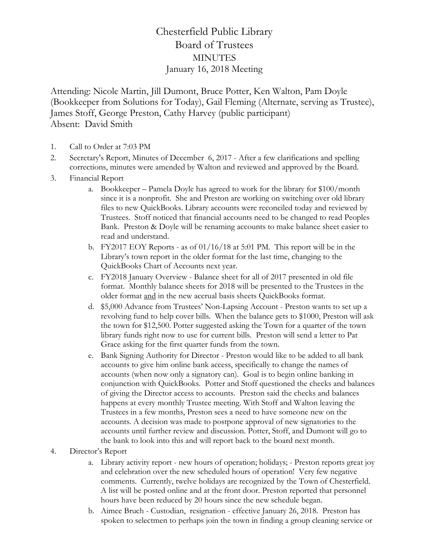## Chesterfield Public Library Board of Trustees **MINUTES** January 16, 2018 Meeting

Attending: Nicole Martin, Jill Dumont, Bruce Potter, Ken Walton, Pam Doyle (Bookkeeper from Solutions for Today), Gail Fleming (Alternate, serving as Trustee), James Stoff, George Preston, Cathy Harvey (public participant) Absent: David Smith

- 1. Call to Order at 7:03 PM
- 2. Secretary's Report, Minutes of December 6, 2017 After a few clarifications and spelling corrections, minutes were amended by Walton and reviewed and approved by the Board.
- 3. Financial Report
	- a. Bookkeeper Pamela Doyle has agreed to work for the library for \$100/month since it is a nonprofit. She and Preston are working on switching over old library files to new QuickBooks. Library accounts were reconciled today and reviewed by Trustees. Stoff noticed that financial accounts need to be changed to read Peoples Bank. Preston & Doyle will be renaming accounts to make balance sheet easier to read and understand.
	- b. FY2017 EOY Reports as of 01/16/18 at 5:01 PM. This report will be in the Library's town report in the older format for the last time, changing to the QuickBooks Chart of Accounts next year.
	- c. FY2018 January Overview Balance sheet for all of 2017 presented in old file format. Monthly balance sheets for 2018 will be presented to the Trustees in the older format and in the new accrual basis sheets QuickBooks format.
	- d. \$5,000 Advance from Trustees' Non-Lapsing Account Preston wants to set up a revolving fund to help cover bills. When the balance gets to \$1000, Preston will ask the town for \$12,500. Potter suggested asking the Town for a quarter of the town library funds right now to use for current bills. Preston will send a letter to Pat Grace asking for the first quarter funds from the town.
	- e. Bank Signing Authority for Director Preston would like to be added to all bank accounts to give him online bank access, specifically to change the names of accounts (when now only a signatory can). Goal is to begin online banking in conjunction with QuickBooks. Potter and Stoff questioned the checks and balances of giving the Director access to accounts. Preston said the checks and balances happens at every monthly Trustee meeting. With Stoff and Walton leaving the Trustees in a few months, Preston sees a need to have someone new on the accounts. A decision was made to postpone approval of new signatories to the accounts until further review and discussion. Potter, Stoff, and Dumont will go to the bank to look into this and will report back to the board next month.

## 4. Director's Report

- a. Library activity report new hours of operation; holidays; Preston reports great joy and celebration over the new scheduled hours of operation! Very few negative comments. Currently, twelve holidays are recognized by the Town of Chesterfield. A list will be posted online and at the front door. Preston reported that personnel hours have been reduced by 20 hours since the new schedule began.
- b. Aimee Bruch Custodian, resignation effective January 26, 2018. Preston has spoken to selectmen to perhaps join the town in finding a group cleaning service or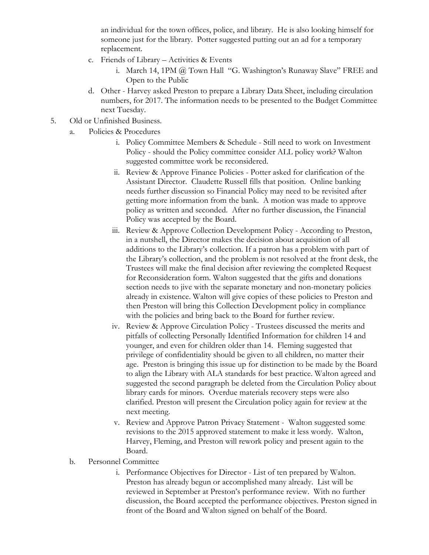an individual for the town offices, police, and library. He is also looking himself for someone just for the library. Potter suggested putting out an ad for a temporary replacement.

- c. Friends of Library Activities & Events
	- i. March 14, 1PM @ Town Hall "G. Washington's Runaway Slave" FREE and Open to the Public
- d. Other Harvey asked Preston to prepare a Library Data Sheet, including circulation numbers, for 2017. The information needs to be presented to the Budget Committee next Tuesday.
- 5. Old or Unfinished Business.
	- a. Policies & Procedures
		- i. Policy Committee Members & Schedule Still need to work on Investment Policy - should the Policy committee consider ALL policy work? Walton suggested committee work be reconsidered.
		- ii. Review & Approve Finance Policies Potter asked for clarification of the Assistant Director. Claudette Russell fills that position. Online banking needs further discussion so Financial Policy may need to be revisited after getting more information from the bank. A motion was made to approve policy as written and seconded. After no further discussion, the Financial Policy was accepted by the Board.
		- iii. Review & Approve Collection Development Policy According to Preston, in a nutshell, the Director makes the decision about acquisition of all additions to the Library's collection. If a patron has a problem with part of the Library's collection, and the problem is not resolved at the front desk, the Trustees will make the final decision after reviewing the completed Request for Reconsideration form. Walton suggested that the gifts and donations section needs to jive with the separate monetary and non-monetary policies already in existence. Walton will give copies of these policies to Preston and then Preston will bring this Collection Development policy in compliance with the policies and bring back to the Board for further review.
		- iv. Review & Approve Circulation Policy Trustees discussed the merits and pitfalls of collecting Personally Identified Information for children 14 and younger, and even for children older than 14. Fleming suggested that privilege of confidentiality should be given to all children, no matter their age. Preston is bringing this issue up for distinction to be made by the Board to align the Library with ALA standards for best practice. Walton agreed and suggested the second paragraph be deleted from the Circulation Policy about library cards for minors. Overdue materials recovery steps were also clarified. Preston will present the Circulation policy again for review at the next meeting.
		- v. Review and Approve Patron Privacy Statement Walton suggested some revisions to the 2015 approved statement to make it less wordy. Walton, Harvey, Fleming, and Preston will rework policy and present again to the Board.
	- b. Personnel Committee
		- i. Performance Objectives for Director List of ten prepared by Walton. Preston has already begun or accomplished many already. List will be reviewed in September at Preston's performance review. With no further discussion, the Board accepted the performance objectives. Preston signed in front of the Board and Walton signed on behalf of the Board.